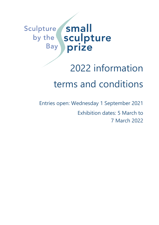### small Sculpture Sculpture by the **Bay** prize

# 2022 information terms and conditions

Entries open: Wednesday 1 September 2021 Exhibition dates: 5 March to 7 March 2022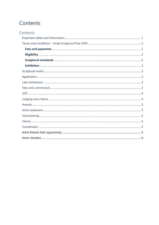# Contents

| Contents |  |
|----------|--|
|          |  |
|          |  |
|          |  |
|          |  |
|          |  |
|          |  |
|          |  |
|          |  |
|          |  |
|          |  |
|          |  |
|          |  |
|          |  |
|          |  |
|          |  |
|          |  |
|          |  |
|          |  |
|          |  |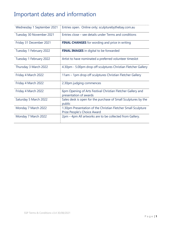# Important dates and information

<span id="page-2-0"></span>

| Wednesday 1 September 2021 | Entries open. Online only; sculpturebythebay.com.au                                          |
|----------------------------|----------------------------------------------------------------------------------------------|
| Tuesday 30 November 2021   | Entries close – see details under Terms and conditions                                       |
| Friday 31 December 2021    | <b>FINAL CHANGES</b> for wording and price in writing                                        |
| Tuesday 1 February 2022    | <b>FINAL IMAGES</b> in digital to be forwarded                                               |
| Tuesday 1 February 2022    | Artist to have nominated a preferred volunteer timeslot                                      |
| Thursday 3 March 2022      | 4.30pm - 5.00pm drop off sculptures Christian Fletcher Gallery                               |
| Friday 4 March 2022        | 11am – 1pm drop off sculptures Christian Fletcher Gallery                                    |
| Friday 4 March 2022        | 2.30pm judging commences                                                                     |
| Friday 4 March 2022        | 6pm Opening of Arts Festival Christian Fletcher Gallery and<br>presentation of awards        |
| Saturday 5 March 2022      | Sales desk is open for the purchase of Small Sculptures by the<br>public                     |
| Monday 7 March 2022        | 1.30pm Presentation of the Christian Fletcher Small Sculpture<br>Prize People's Choice Award |
| Monday 7 March 2022        | 2pm – 4pm All artworks are to be collected from Gallery.                                     |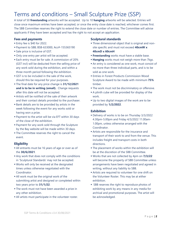# Terms and conditions – Small Sculpture Prize (SSP)

<span id="page-3-0"></span>A total of 50 **freestanding** artworks will be accepted. Up to 10 **hanging** artworks will be selected. Entries will close once maximum entries have been accepted, or once the entry close date is reached, whichever comes first. The SBB Committee reserves the right to extend the close date or number of entries. The Committee will advise applicants if they have been accepted and has the right to not accept an application.

#### **Fees and payments**

- Entry fee is \$40 for 2022.
- Payment to SBB; BSB-633000, Acc#-155365190
- <span id="page-3-1"></span>**Sale price is inclusive of GST.**
- Only one entry per artist will be accepted.
- **Each entry must be for sale. A commission of 20%** (GST incl) will be deducted from the selling price of any work sold during the exhibition, and within a three month period following the exhibition.
- **GST** is to be included in the sale of the work, should this be required for your purposes.
- The final date for any price change is **31/12/2021 and is to be in writing (email).** Change requests after this date will not be accepted.
- **Exercise 1** Artists will be notified of the sale of their artwork and their contact details provided to the purchaser.
- **Bank details are to be provided by artists in the** week following the event for any works sold or having won a prize.
- Payment to the artist will be via EFT within 30 days of the close of the exhibition.
- Payment for any work sold through the Sculpture by the Bay website will be made within 30 days.
- **The Committee reserves the right to cancel the** event.

#### **Eligibility**

- All entrants must be 16 years of age or over as of the **30/6/2021**.
- <span id="page-3-2"></span>**Any work that does not comply with the conditions** in 'Sculptural Standards' may not be accepted.
- Works will only be received at the designated times unless otherwise negotiated with the Coordinator.
- **.** All work must be the original work of the submitting artist and designed or completed within two years prior to **31/1/22**.
- **The work must not have been awarded a prize in** any other exhibition.
- All artists must participate in the volunteer roster.

#### **Sculptural standards**

- **Three dimensional object that is original and non**site specific and must not exceed **40cmW x 40cmD x 60cmH**
- <span id="page-3-3"></span>**Freestanding** works must have a stable base.
- **Hanging** works must not weigh more than 7kgs.
- **An entry is considered as one work, must consist of** no more than three individual parts, and is to be sold as one work.
- **Entries in Forest Products Commission Wood** Sculpture Award to be made with minimum **75%** timber.
- **.** The work must not be discriminatory or offensive.
- **A** plinth cube will be provided for display of the work.
- Up to two digital images of the work are to be provided by **1/2/2022**.

#### **Exhibition**

- Delivery of works is to be on Thursday 3/3/2022 4.30pm-5.00pm and Friday 4/3/2022 11.00am-1.00pm, unless otherwise arranged with the Coordinator.
- <span id="page-3-4"></span>**EXTER 1** Artists are responsible for the insurance and transport of their work to and from the venue. This includes freight and transport costs in both directions.
- **The placement of works within the exhibition will** be at the discretion of the SBB Committee.
- Works that are not collected by 4pm on **7/3/22** will become the property of SBB Committee unless arrangements have been negotiated and agreed in writing, without any liability to SBB.
- **EXECUTE:** Artists are required to volunteer for one shift on the Volunteer Roster. This may be at either exhibition.
- SBB reserves the right to reproduce photos of exhibiting work by any means in any media for archival and promotional purposes. The artist will be acknowledged.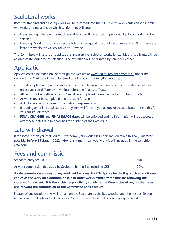# Sculptural works

<span id="page-4-0"></span>Both freestanding and hanging works will be accepted into the 2022 event. Applicants cannot submit two works and must decide which section they will enter.

- Freestanding: These works must be stable and will have a plinth provided. Up to 50 works will be selected.
- Hanging: Works must have a secure fitting to hang and must not weigh more than 7kgs. There are locations within the Gallery for up to 10 works.

The Committee will assess all applications and **may not** select all works for exhibition. Applicants will be advised of the outcome of selection. The exhibition will be curated by Jennifer Fletcher.

# Application

Application can be made online through the website at [www.sculpturebythebay.com.au](http://www.sculpturebythebay.com.au/) under the section Small Sculpture Prize or by email to [admin@sculpturebythebay.com.au.](mailto:admin@sculpturebythebay.com.au)

- <span id="page-4-1"></span>• The description and price provided in the online form will be printed in the Exhibition catalogue unless advised differently in writing before the final cutoff date.
- All fields marked with an asterisk \* must be completed to enable the form to be submitted.
- Artworks must be completed and available for sale.
- A digital image is to be sent for curation purposes only.
- If lodging an online application, the system will forward you a copy of the application. Save this for your future reference.
- **FINAL CHANGES** and **FINAL IMAGE dates** will be enforced and no information will be accepted after these dates due to deadlines for printing of the Catalogue.

### Late withdrawal

<span id="page-4-2"></span>If for some reason you feel you must withdraw your work it is important you make this call, wherever possible, **before** 1 February 2022. After this it may mean your work is still included in the exhibition catalogue.

### Fees and commission

<span id="page-4-3"></span>

| Standard entry fee 2022                                           | \$40 |
|-------------------------------------------------------------------|------|
| Artwork commission deducted by Sculpture by the Bay including GST | 20%  |

**A sale commission applies to any work sold as a result of Sculpture by the Bay, such as additional copies of the work on exhibition or sale of other works, within three months following the closure of the event. It is the artists responsibility to advise the Committee of any further sales and forward the commission to the Committee bank account.** 

Images of any unsold works will remain on the Sculpture by the Bay website until the next exhibition and any sales will automatically have a 20% commission deducted before paying the artist.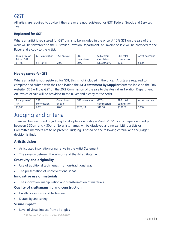# GST

All artists are required to advise if they are or are not registered for GST, Federal Goods and Services Tax..

#### <span id="page-5-0"></span>**Registered for GST**

Where an artist is registered for GST this is to be included in the price. A 10% GST on the sale of the work will be forwarded to the Australian Taxation Department. An invoice of sale will be provided to the Buyer and a copy to the Artist.

| Total price of | <b>GST</b><br>calculation <sup>:</sup> | <b>GST</b> on sale | <b>SBB</b> | <b>SBB</b> comm | <b>SBB</b> total | Artist payment |
|----------------|----------------------------------------|--------------------|------------|-----------------|------------------|----------------|
| Art inc GST    |                                        |                    | commission | calculation     | commission       |                |
| \$1,100        | \$1,100/11                             | \$100              | 20%        | \$1,000/20%     | \$200            | \$800          |

#### **Not registered for GST**

Where an artist is not registered for GST, this is not included in the price. Artists are required to complete and submit with their application the **ATO Statement by Supplier** form available on the SBB website. SBB will pay GST on the 20% Commission of the sale to the Australian Taxation Department. An invoice of sale will be provided to the Buyer and a copy to the Artist.

| Total price of | SBB               | <b>Commission</b> | <b>GST</b> calculation | GST on     | <b>SBB</b> total  | Artist payment |
|----------------|-------------------|-------------------|------------------------|------------|-------------------|----------------|
| Art            | <b>commission</b> | on sale           |                        | commission | <b>commission</b> |                |
| \$1,000        | 20%               | \$200             | \$200/1                | \$18.18    | \$181.82          | \$800          |

### Judging and criteria

<span id="page-5-1"></span>There will be one round of judging to take place on Friday 4 March 2022 by an independent judge between 2.30pm and 4.30pm. No artists names will be displayed and no exhibiting artists or Committee members are to be present. Judging is based on the following criteria, and the judge's decision is final:

#### **Artistic vision**

- Articulated inspiration or narrative in the Artist Statement
- The synergy between the artwork and the Artist Statement

#### **Creativity and originality**

- Use of traditional techniques in a non-traditional way
- The presentation of unconventional ideas

#### **Innovative use of materials**

The innovation, manipulation and transformation of materials

#### **Quality of craftsmanship and construction**

- Excellence in form and technique
- Durability and safety

#### **Visual impact**

• Level of visual impact from all angles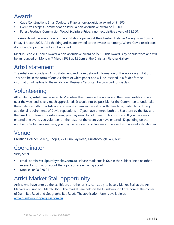### Awards

- Cape Constructions Small Sculpture Prize, a non-acquisitive award of \$1,500.
- <span id="page-6-0"></span>Exclusive Escapes Commendation Prize, a non-acquisitive award of \$1,500.
- Forest Products Commission Wood Sculpture Prize, a non-acquisitive award of \$2,500.

The Awards will be announced at the exhibition opening at the Christian Fletcher Gallery from 6pm on Friday 4 March 2022. All exhibiting artists are invited to the awards ceremony. Where Covid restrictions do not apply, partners will also be invited.

Mealup People's Choice Award, a non-acquisitive award of \$500. This Award is by popular vote and will be announced on Monday 7 March 2022 at 1.30pm at the Christian Fletcher Gallery.

## Artist statement

<span id="page-6-1"></span>The Artist can provide an Artist Statement and more detailed information of the work on exhibition. This is to be in the form of one A4 sheet of white paper and will be inserted in a folder for the information of visitors to the exhibition. Business Cards can be provided for display.

# Volunteering

<span id="page-6-2"></span>All exhibiting Artists are required to Volunteer their time on the roster and the more flexible you are over the weekend is very much appreciated. It would not be possible for the Committee to undertake the exhibition without artists and community members assisting with their time, particularly during additional requirements of Covid regulations. If you have entered both the Sculpture by the Bay and the Small Sculpture Prize exhibitions, you may need to volunteer on both rosters. If you have only entered one event, you volunteer on the roster of the event you have entered. Depending on the number of Volunteers we have, you may be required to volunteer at the event you are not exhibiting in.

### Venue

Christian Fletcher Gallery, Shop 4, 27 Dunn Bay Road, Dunsborough, WA, 6281

### <span id="page-6-3"></span>Coordinator

Vicky Small

- <span id="page-6-4"></span>**Email:** [admin@sculpturebythebay.com.au.](mailto:admin@sculpturebythebay.com.au) Please mark emails **SSP** in the subject line plus other relevant information about the topic you are emailing about.
- Mobile: 0408 976 911

# Artist Market Stall opportunity

<span id="page-6-5"></span>Artists who have entered the exhibition, or other artists, can apply to have a Market Stall at the Art Markets on Sunday 6 March 2022. The markets are held on the Dunsborough Foreshore at the corner of Dunn Bay Road and Geographe Bay Road. The application form is available at; [www.dunsboroughprogress.com.au](http://www.dunsboroughprogress.com.au/) .